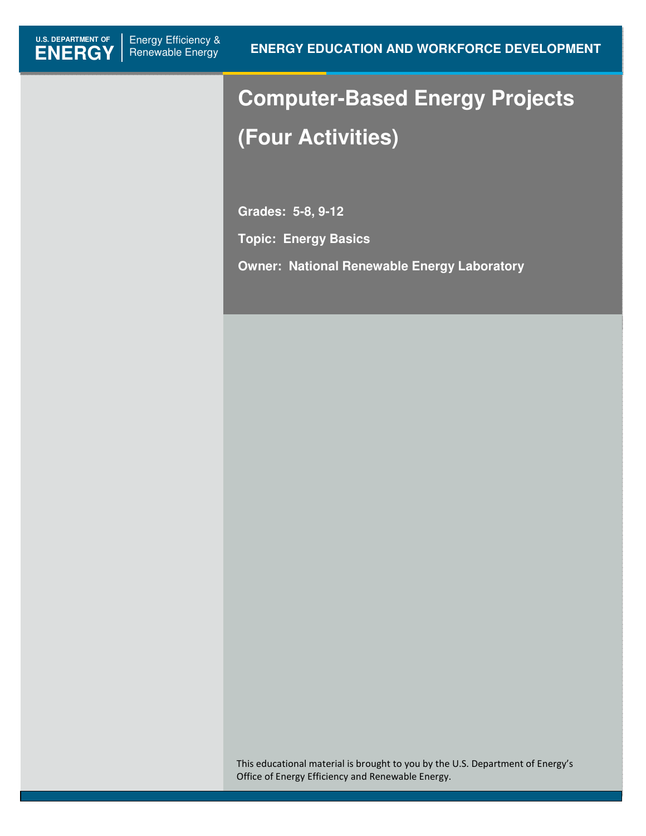# **Computer-Based Energy Projects (Four Activities)**

**Grades: 5-8, 9-12** 

**Topic: Energy Basics** 

**Owner: National Renewable Energy Laboratory**

This educational material is brought to you by the U.S. Department of Energy's Office of Energy Efficiency and Renewable Energy.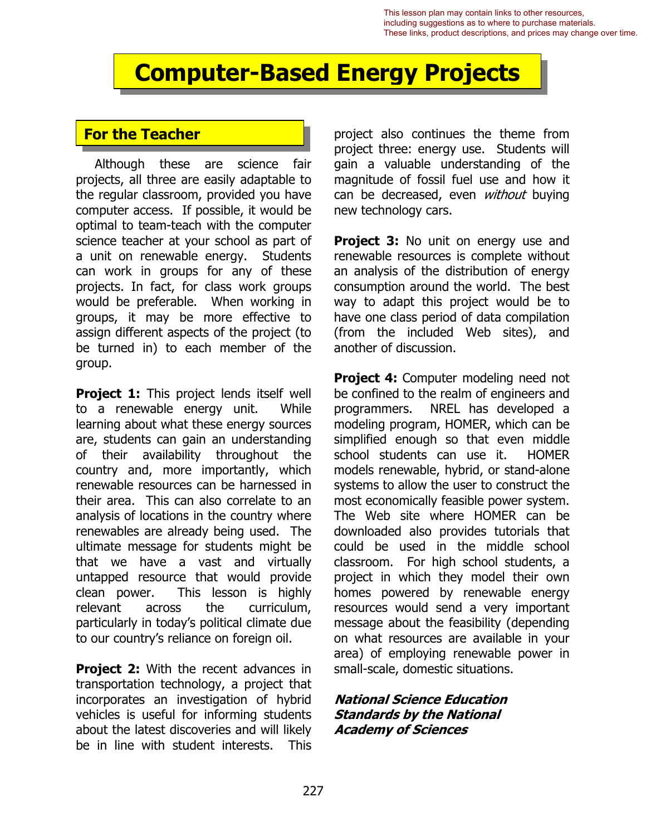This lesson plan may contain links to other resources, including suggestions as to where to purchase materials. These links, product descriptions, and prices may change over time.

## **Computer-Based Energy Projects**

## **For the Teacher**

Although these are science fair projects, all three are easily adaptable to the regular classroom, provided you have computer access. If possible, it would be optimal to team-teach with the computer science teacher at your school as part of a unit on renewable energy. Students can work in groups for any of these projects. In fact, for class work groups would be preferable. When working in groups, it may be more effective to assign different aspects of the project (to be turned in) to each member of the group.

**Project 1:** This project lends itself well to a renewable energy unit. While learning about what these energy sources are, students can gain an understanding of their availability throughout the country and, more importantly, which renewable resources can be harnessed in their area. This can also correlate to an analysis of locations in the country where renewables are already being used. The ultimate message for students might be that we have a vast and virtually untapped resource that would provide clean power. This lesson is highly relevant across the curriculum, particularly in today's political climate due to our country's reliance on foreign oil.

**Project 2:** With the recent advances in transportation technology, a project that incorporates an investigation of hybrid vehicles is useful for informing students about the latest discoveries and will likely be in line with student interests. This project also continues the theme from project three: energy use. Students will gain a valuable understanding of the magnitude of fossil fuel use and how it can be decreased, even without buying new technology cars.

**Project 3:** No unit on energy use and renewable resources is complete without an analysis of the distribution of energy consumption around the world. The best way to adapt this project would be to have one class period of data compilation (from the included Web sites), and another of discussion.

**Project 4:** Computer modeling need not be confined to the realm of engineers and programmers. NREL has developed a modeling program, HOMER, which can be simplified enough so that even middle school students can use it. HOMER models renewable, hybrid, or stand-alone systems to allow the user to construct the most economically feasible power system. The Web site where HOMER can be downloaded also provides tutorials that could be used in the middle school classroom. For high school students, a project in which they model their own homes powered by renewable energy resources would send a very important message about the feasibility (depending on what resources are available in your area) of employing renewable power in small-scale, domestic situations.

#### **National Science Education Standards by the National Academy of Sciences**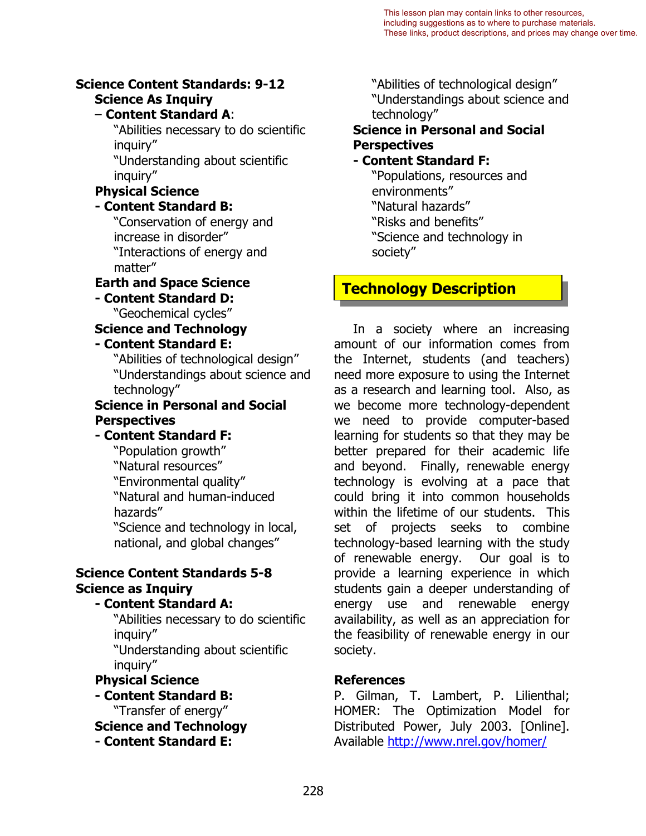#### **Science Content Standards: 9-12 Science As Inquiry**

#### – **Content Standard A**:

"Abilities necessary to do scientific inquiry"

"Understanding about scientific inquiry"

#### **Physical Science**

#### **- Content Standard B:**

"Conservation of energy and increase in disorder" "Interactions of energy and matter"

## **Earth and Space Science**

**- Content Standard D:**  "Geochemical cycles"

**Science and Technology** 

#### **- Content Standard E:**

"Abilities of technological design" "Understandings about science and technology"

#### **Science in Personal and Social Perspectives**

#### **- Content Standard F:**

"Population growth" "Natural resources" "Environmental quality" "Natural and human-induced hazards" "Science and technology in local, national, and global changes"

#### **Science Content Standards 5-8 Science as Inquiry**

#### **- Content Standard A:**

"Abilities necessary to do scientific inquiry"

"Understanding about scientific inquiry"

#### **Physical Science - Content Standard B:**

"Transfer of energy"

**Science and Technology** 

**- Content Standard E:** 

"Abilities of technological design" "Understandings about science and technology"

#### **Science in Personal and Social Perspectives**

#### **- Content Standard F:**

"Populations, resources and environments" "Natural hazards" "Risks and benefits" "Science and technology in society"

## **Technology Description**

In a society where an increasing amount of our information comes from the Internet, students (and teachers) need more exposure to using the Internet as a research and learning tool. Also, as we become more technology-dependent we need to provide computer-based learning for students so that they may be better prepared for their academic life and beyond. Finally, renewable energy technology is evolving at a pace that could bring it into common households within the lifetime of our students. This set of projects seeks to combine technology-based learning with the study of renewable energy. Our goal is to provide a learning experience in which students gain a deeper understanding of energy use and renewable energy availability, as well as an appreciation for the feasibility of renewable energy in our society.

#### **References**

Available <u>http:/[/www.nrel.gov/homer/](http://www.nrel.gov/homer/)</u><br>228 P. Gilman, T. Lambert, P. Lilienthal; HOMER: The Optimization Model for Distributed Power, July 2003. [Online].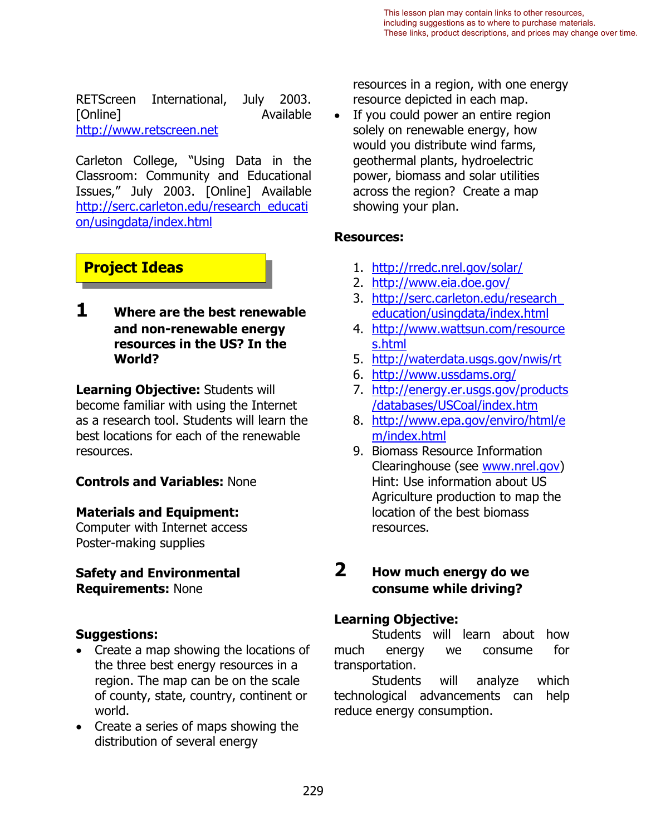http://www.retscreen.net RETScreen International, July 2003. [Online] **Available** 

Carleton College, "Using Data in the Classroom: Community and Educational Issues," July 2003. [Online] Available [http://serc.carleton.edu/research\\_educati](http://serc.carleton.edu/research_education/usingdata/index.html) [on/usingdata/index.html](http://serc.carleton.edu/research_education/usingdata/index.html)

## **Project Ideas**

**1 Where are the best renewable and non-renewable energy resources in the US? In the World?** 

**Learning Objective:** Students will become familiar with using the Internet as a research tool. Students will learn the best locations for each of the renewable resources.

#### **Controls and Variables:** None

#### **Materials and Equipment:**

Computer with Internet access Poster-making supplies

#### **Safety and Environmental Requirements:** None

#### **Suggestions:**

- Create a map showing the locations of the three best energy resources in a region. The map can be on the scale of county, state, country, continent or world.
- Create a series of maps showing the distribution of several energy

resources in a region, with one energy resource depicted in each map.

If you could power an entire region solely on renewable energy, how would you distribute wind farms, geothermal plants, hydroelectric power, biomass and solar utilities across the region? Create a map showing your plan.

#### **Resources:**

- 1. <http://rredc.nrel.gov/solar/>
- 2. <http://www.eia.doe.gov/>
- 3. [http://serc.carleton.edu/research\\_](http://serc.carleton.edu/research_education/usingdata/index.html)  [education/usingdata/index.html](http://serc.carleton.edu/research_education/usingdata/index.html)
- 4. [http://www.wattsun.com/resource](http://www.wattsun.com/resources.html)  [s.html](http://www.wattsun.com/resources.html)
- 5. <http://waterdata.usgs.gov/nwis/rt><br>6. <u>http://www.ussdams.org/</u>
- 
- 7. [http://energy.er.usgs.gov/products](http://energy.er.usgs.gov/products/databases/USCoal/index.htm)  [/databases/USCoal/index.htm](http://energy.er.usgs.gov/products/databases/USCoal/index.htm)
- 8. [http://www.epa.gov/enviro/html/e](http://www.epa.gov/enviro/html/em/index.html) [m/index.html](http://www.epa.gov/enviro/html/em/index.html)
- 9. Biomass Resource Information Clearinghouse (see [www.nrel.gov\)](http://www.nrel.gov/) Hint: Use information about US Agriculture production to map the location of the best biomass resources.

### **2 How much energy do we consume while driving?**

#### **Learning Objective:**

Students will learn about how much energy we consume for transportation.

Students will analyze which technological advancements can help reduce energy consumption.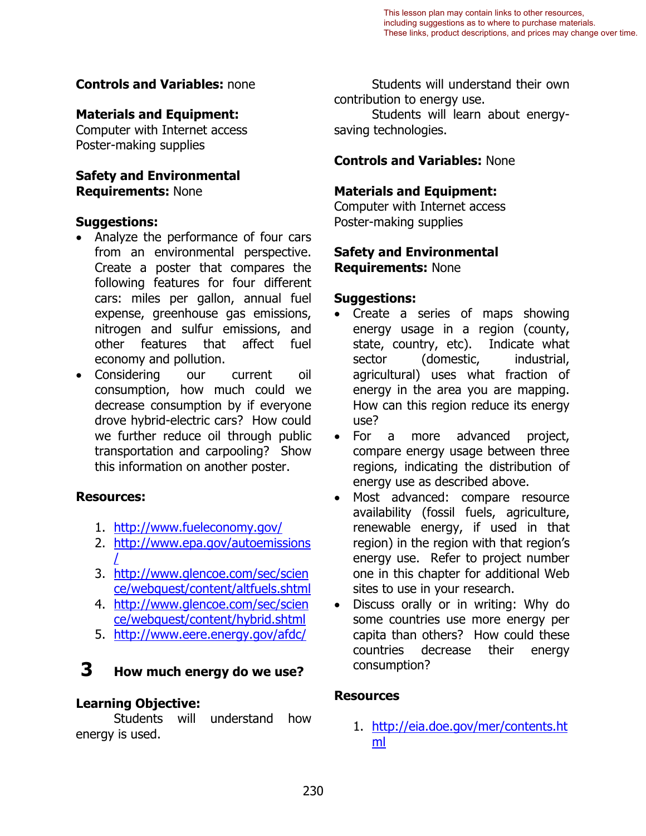#### **Controls and Variables:** none

#### **Materials and Equipment:**

Computer with Internet access Poster-making supplies

#### **Safety and Environmental Requirements:** None

#### **Suggestions:**

- • Analyze the performance of four cars from an environmental perspective. Create a poster that compares the following features for four different cars: miles per gallon, annual fuel expense, greenhouse gas emissions, nitrogen and sulfur emissions, and other features that affect fuel economy and pollution.
- Considering our current oil consumption, how much could we decrease consumption by if everyone drove hybrid-electric cars? How could we further reduce oil through public transportation and carpooling? Show this information on another poster.

#### **Resources:**

- 1. <http://www.fueleconomy.gov/>
- i<br>L 2. [http://www.epa.gov/autoemissions](http://www.epa.gov/autoemissions/)
- 3. http://www.glencoe.com/sec/scien [ce/webquest/content/altfuels.shtml](http://www.glencoe.com/sec/science/webquest/content/altfuels.shtml)
- ce/webquest/content/hybrid.shtml 4. [http://www.glencoe.com/sec/scien](http://www.glencoe.com/sec/science/webquest/content/hybrid.shtml)
- ce/webquest/content/hybrid.shtml<br>5. http://www.eere.energy.gov/afdc/

## **3 How much energy do we use?**

#### **Learning Objective:**

Students will understand how energy is used.

Students will understand their own contribution to energy use. Students will learn about energysaving technologies.

#### **Controls and Variables:** None

#### **Materials and Equipment:**

Computer with Internet access Poster-making supplies

#### **Safety and Environmental Requirements:** None

#### **Suggestions:**

- Create a series of maps showing energy usage in a region (county, state, country, etc). Indicate what sector (domestic, industrial, agricultural) uses what fraction of energy in the area you are mapping. How can this region reduce its energy use?
- • For a more advanced project, compare energy usage between three regions, indicating the distribution of energy use as described above.
- Most advanced: compare resource availability (fossil fuels, agriculture, renewable energy, if used in that region) in the region with that region's energy use. Refer to project number one in this chapter for additional Web sites to use in your research.
- Discuss orally or in writing: Why do some countries use more energy per capita than others? How could these countries decrease their energy consumption?

#### **Resources**

1. [http://eia.doe.gov/mer/contents.ht](http://eia.doe.gov/mer/contents.html) [ml](http://eia.doe.gov/mer/contents.html)